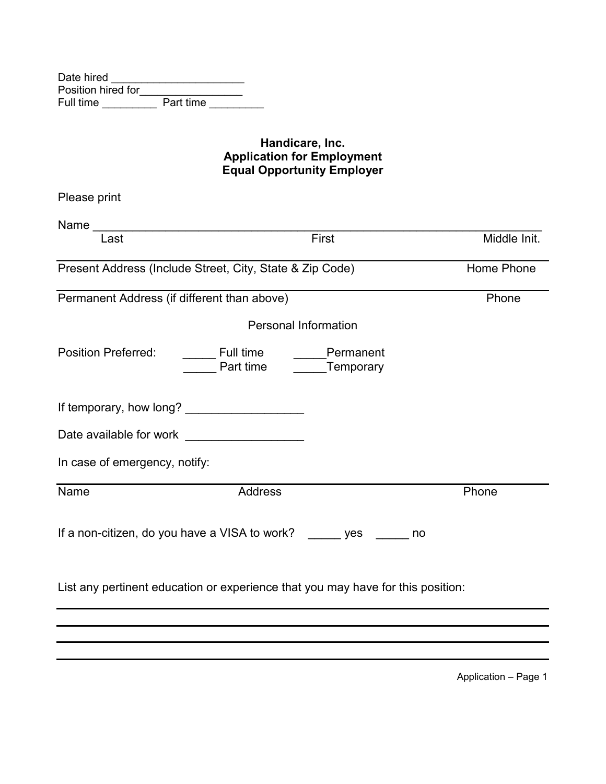| Date hired         |           |
|--------------------|-----------|
| Position hired for |           |
| Full time          | Part time |

#### **Handicare, Inc. Application for Employment Equal Opportunity Employer**

| Please print                                                      |                                                                                 |              |
|-------------------------------------------------------------------|---------------------------------------------------------------------------------|--------------|
| Last                                                              | First                                                                           | Middle Init. |
|                                                                   | Present Address (Include Street, City, State & Zip Code)                        | Home Phone   |
| Permanent Address (if different than above)                       |                                                                                 | Phone        |
|                                                                   | <b>Personal Information</b>                                                     |              |
| <b>Position Preferred:</b>                                        | <b>Eull time</b><br>Permanent<br>Part time Temporary                            |              |
|                                                                   |                                                                                 |              |
| Date available for work Date available                            |                                                                                 |              |
| In case of emergency, notify:                                     |                                                                                 |              |
| Name                                                              | <b>Address</b>                                                                  | Phone        |
| If a non-citizen, do you have a VISA to work? ______ yes _____ no |                                                                                 |              |
|                                                                   | List any pertinent education or experience that you may have for this position: |              |
|                                                                   |                                                                                 |              |
|                                                                   |                                                                                 |              |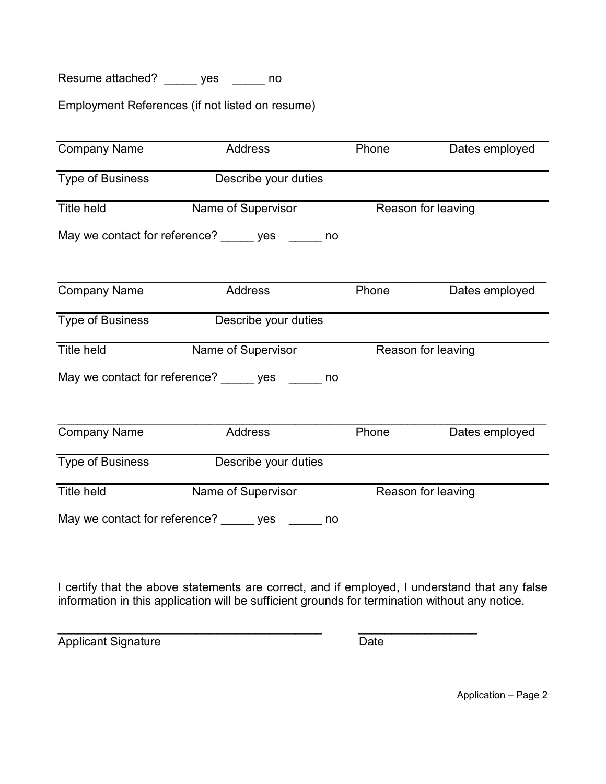Resume attached? \_\_\_\_\_ yes \_\_\_\_\_ no

Employment References (if not listed on resume)

| <b>Company Name</b>                      | Address                                          |    | Phone | Dates employed     |
|------------------------------------------|--------------------------------------------------|----|-------|--------------------|
| Type of Business<br>Describe your duties |                                                  |    |       |                    |
| <b>Title held</b>                        | Name of Supervisor                               |    |       | Reason for leaving |
|                                          | May we contact for reference? _____ yes _____ no |    |       |                    |
| <b>Company Name</b>                      | Address                                          |    | Phone | Dates employed     |
| Type of Business                         | Describe your duties                             |    |       |                    |
| <b>Title held</b>                        | Name of Supervisor                               |    |       | Reason for leaving |
|                                          | May we contact for reference? ves ______ no      |    |       |                    |
| <b>Company Name</b>                      | Address                                          |    | Phone | Dates employed     |
| Type of Business                         | Describe your duties                             |    |       |                    |
| <b>Title held</b>                        | Name of Supervisor                               |    |       | Reason for leaving |
|                                          | May we contact for reference? _____ yes ___      | no |       |                    |

I certify that the above statements are correct, and if employed, I understand that any false information in this application will be sufficient grounds for termination without any notice.

 $\overline{\phantom{a}}$  , and the contribution of the contribution of the contribution of the contribution of the contribution of the contribution of the contribution of the contribution of the contribution of the contribution of the Applicant Signature Date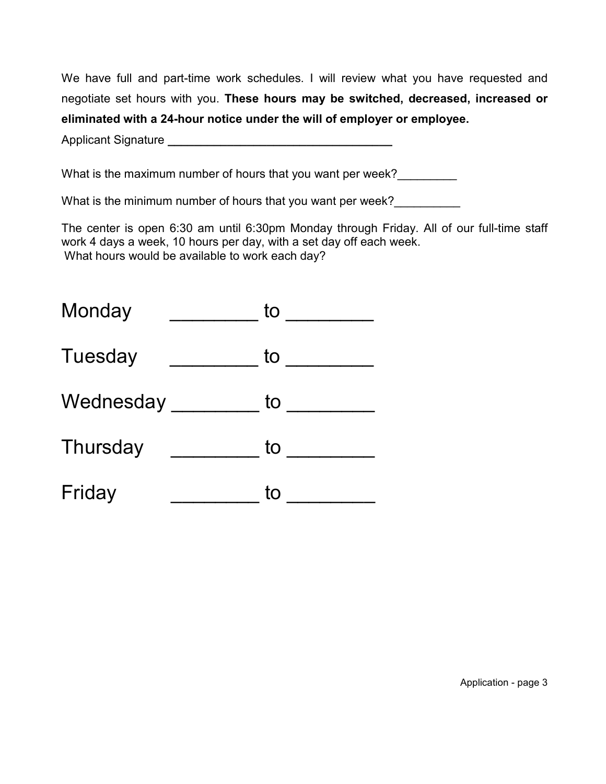We have full and part-time work schedules. I will review what you have requested and negotiate set hours with you. **These hours may be switched, decreased, increased or eliminated with a 24-hour notice under the will of employer or employee.** 

Applicant Signature **\_\_\_\_\_\_\_\_\_\_\_\_\_\_\_\_\_\_\_\_\_\_\_\_\_\_\_\_\_\_\_\_\_\_** 

What is the maximum number of hours that you want per week?

What is the minimum number of hours that you want per week?

The center is open 6:30 am until 6:30pm Monday through Friday. All of our full-time staff work 4 days a week, 10 hours per day, with a set day off each week. What hours would be available to work each day?

| Monday    | to |
|-----------|----|
| Tuesday   | to |
| Wednesday | to |
| Thursday  | to |
| Friday    | to |

Application - page 3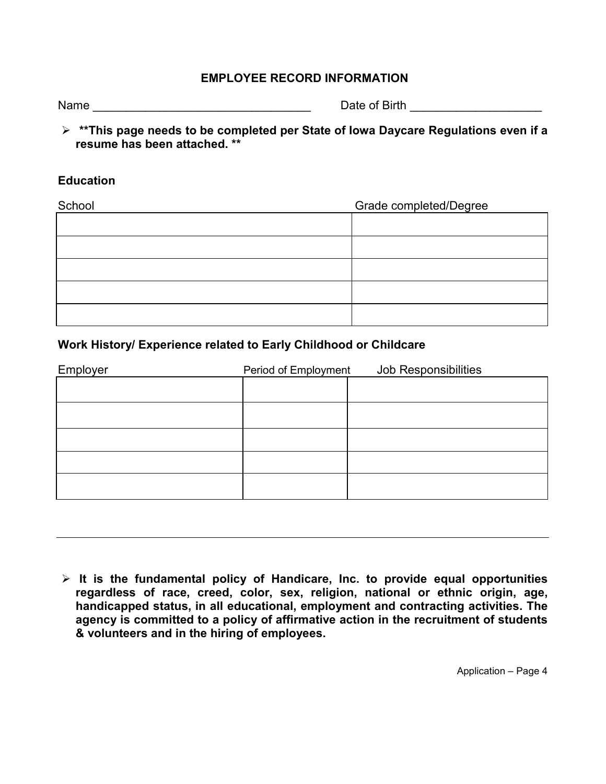### **EMPLOYEE RECORD INFORMATION**

| Name | Date of Birth |  |
|------|---------------|--|
|      |               |  |

 **\*\*This page needs to be completed per State of Iowa Daycare Regulations even if a resume has been attached. \*\*** 

#### **Education**

| School | Grade completed/Degree |
|--------|------------------------|
|        |                        |
|        |                        |
|        |                        |
|        |                        |
|        |                        |

## **Work History/ Experience related to Early Childhood or Childcare**

| Employer | Period of Employment | Job Responsibilities |
|----------|----------------------|----------------------|
|          |                      |                      |
|          |                      |                      |
|          |                      |                      |
|          |                      |                      |
|          |                      |                      |
|          |                      |                      |
|          |                      |                      |

 **It is the fundamental policy of Handicare, Inc. to provide equal opportunities regardless of race, creed, color, sex, religion, national or ethnic origin, age, handicapped status, in all educational, employment and contracting activities. The agency is committed to a policy of affirmative action in the recruitment of students & volunteers and in the hiring of employees.**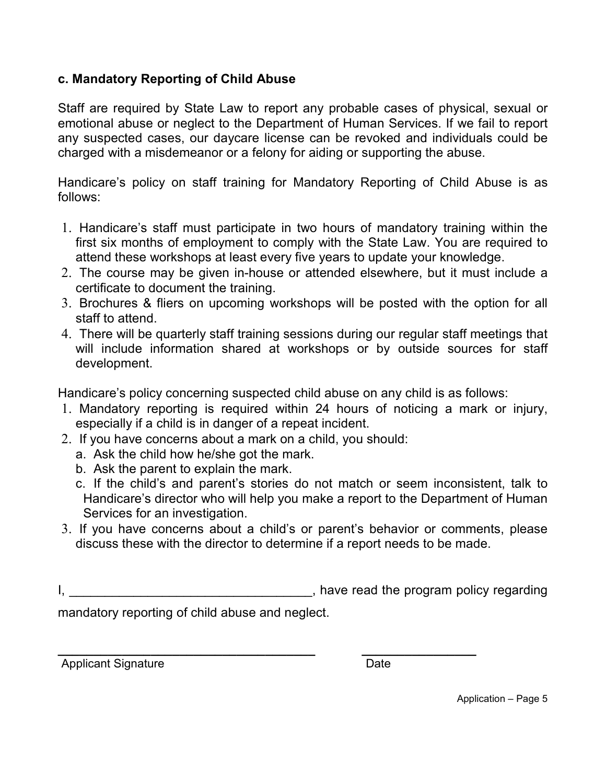## **c. Mandatory Reporting of Child Abuse**

Staff are required by State Law to report any probable cases of physical, sexual or emotional abuse or neglect to the Department of Human Services. If we fail to report any suspected cases, our daycare license can be revoked and individuals could be charged with a misdemeanor or a felony for aiding or supporting the abuse.

Handicare's policy on staff training for Mandatory Reporting of Child Abuse is as follows:

- 1. Handicare's staff must participate in two hours of mandatory training within the first six months of employment to comply with the State Law. You are required to attend these workshops at least every five years to update your knowledge.
- 2. The course may be given in-house or attended elsewhere, but it must include a certificate to document the training.
- 3. Brochures & fliers on upcoming workshops will be posted with the option for all staff to attend.
- 4. There will be quarterly staff training sessions during our regular staff meetings that will include information shared at workshops or by outside sources for staff development.

Handicare's policy concerning suspected child abuse on any child is as follows:

- 1. Mandatory reporting is required within 24 hours of noticing a mark or injury, especially if a child is in danger of a repeat incident.
- 2. If you have concerns about a mark on a child, you should:
	- a. Ask the child how he/she got the mark.
	- b. Ask the parent to explain the mark.
	- c. If the child's and parent's stories do not match or seem inconsistent, talk to Handicare's director who will help you make a report to the Department of Human Services for an investigation.
- 3. If you have concerns about a child's or parent's behavior or comments, please discuss these with the director to determine if a report needs to be made.

I, the program policy regarding is a set of the program policy regarding

mandatory reporting of child abuse and neglect.

**\_\_\_\_\_\_\_\_\_\_\_\_\_\_\_\_\_\_\_\_\_\_\_\_\_\_\_\_\_\_\_\_\_\_\_\_ \_\_\_\_\_\_\_\_\_\_\_\_\_\_\_\_**  Applicant Signature Date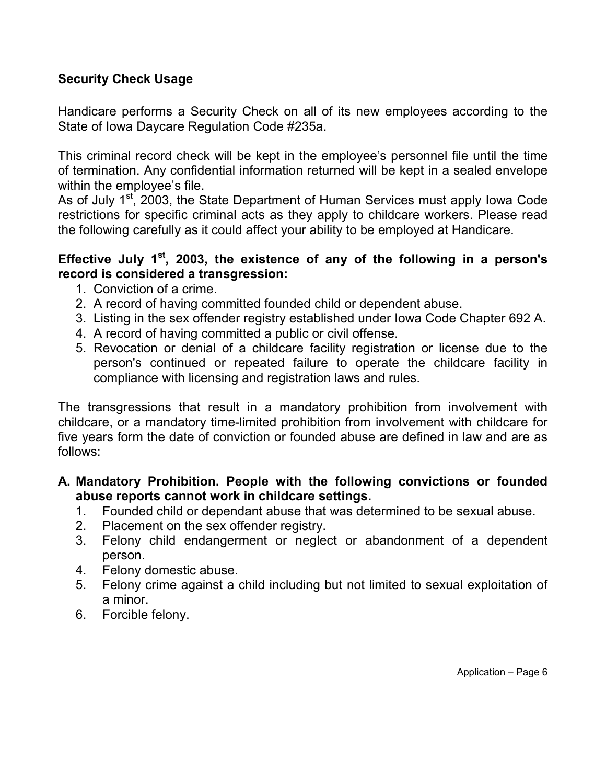# **Security Check Usage**

Handicare performs a Security Check on all of its new employees according to the State of Iowa Daycare Regulation Code #235a.

This criminal record check will be kept in the employee's personnel file until the time of termination. Any confidential information returned will be kept in a sealed envelope within the employee's file.

As of July 1<sup>st</sup>, 2003, the State Department of Human Services must apply Iowa Code restrictions for specific criminal acts as they apply to childcare workers. Please read the following carefully as it could affect your ability to be employed at Handicare.

# **Effective July 1st, 2003, the existence of any of the following in a person's record is considered a transgression:**

- 1. Conviction of a crime.
- 2. A record of having committed founded child or dependent abuse.
- 3. Listing in the sex offender registry established under Iowa Code Chapter 692 A.
- 4. A record of having committed a public or civil offense.
- 5. Revocation or denial of a childcare facility registration or license due to the person's continued or repeated failure to operate the childcare facility in compliance with licensing and registration laws and rules.

The transgressions that result in a mandatory prohibition from involvement with childcare, or a mandatory time-limited prohibition from involvement with childcare for five years form the date of conviction or founded abuse are defined in law and are as follows:

## **A. Mandatory Prohibition. People with the following convictions or founded abuse reports cannot work in childcare settings.**

- 1. Founded child or dependant abuse that was determined to be sexual abuse.
- 2. Placement on the sex offender registry.
- 3. Felony child endangerment or neglect or abandonment of a dependent person.
- 4. Felony domestic abuse.
- 5. Felony crime against a child including but not limited to sexual exploitation of a minor.
- 6. Forcible felony.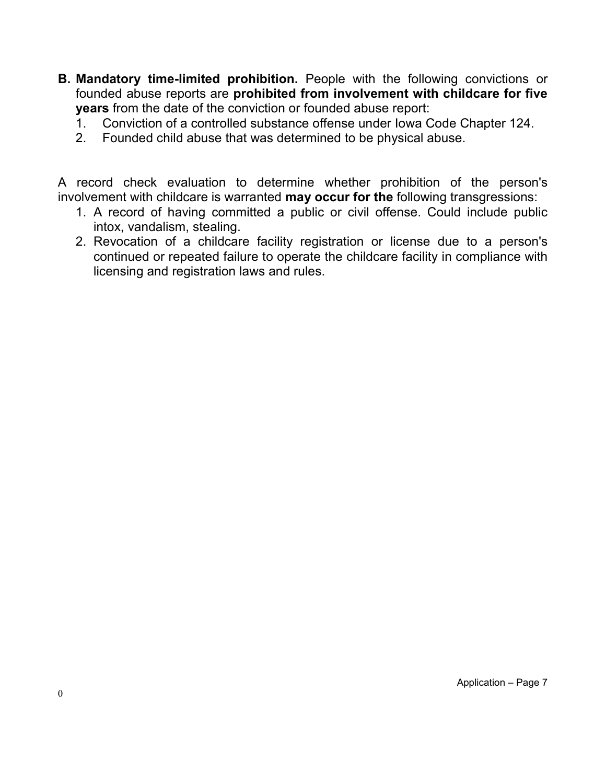- **B. Mandatory time-limited prohibition.** People with the following convictions or founded abuse reports are **prohibited from involvement with childcare for five years** from the date of the conviction or founded abuse report:
	- 1. Conviction of a controlled substance offense under Iowa Code Chapter 124.
	- 2. Founded child abuse that was determined to be physical abuse.

A record check evaluation to determine whether prohibition of the person's involvement with childcare is warranted **may occur for the** following transgressions:

- 1. A record of having committed a public or civil offense. Could include public intox, vandalism, stealing.
- 2. Revocation of a childcare facility registration or license due to a person's continued or repeated failure to operate the childcare facility in compliance with licensing and registration laws and rules.